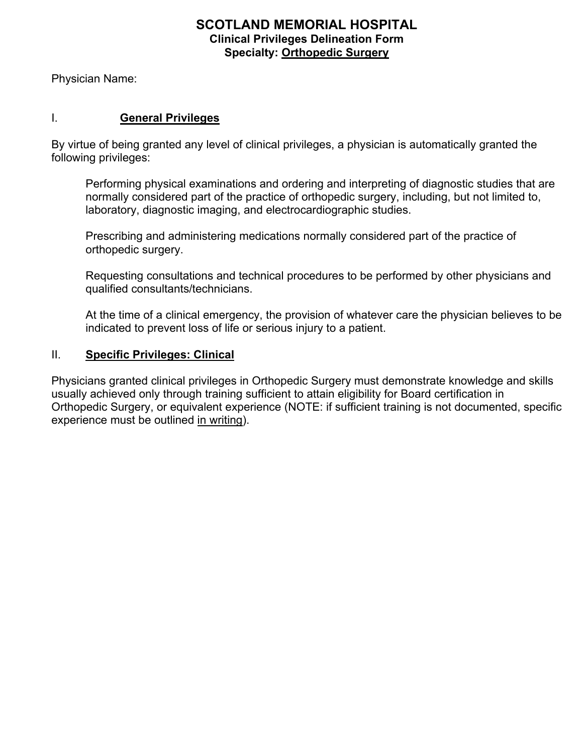## **SCOTLAND MEMORIAL HOSPITAL Clinical Privileges Delineation Form Specialty: Orthopedic Surgery**

Physician Name:

### I. **General Privileges**

By virtue of being granted any level of clinical privileges, a physician is automatically granted the following privileges:

Performing physical examinations and ordering and interpreting of diagnostic studies that are normally considered part of the practice of orthopedic surgery, including, but not limited to, laboratory, diagnostic imaging, and electrocardiographic studies.

Prescribing and administering medications normally considered part of the practice of orthopedic surgery.

Requesting consultations and technical procedures to be performed by other physicians and qualified consultants/technicians.

At the time of a clinical emergency, the provision of whatever care the physician believes to be indicated to prevent loss of life or serious injury to a patient.

### II. **Specific Privileges: Clinical**

Physicians granted clinical privileges in Orthopedic Surgery must demonstrate knowledge and skills usually achieved only through training sufficient to attain eligibility for Board certification in Orthopedic Surgery, or equivalent experience (NOTE: if sufficient training is not documented, specific experience must be outlined in writing).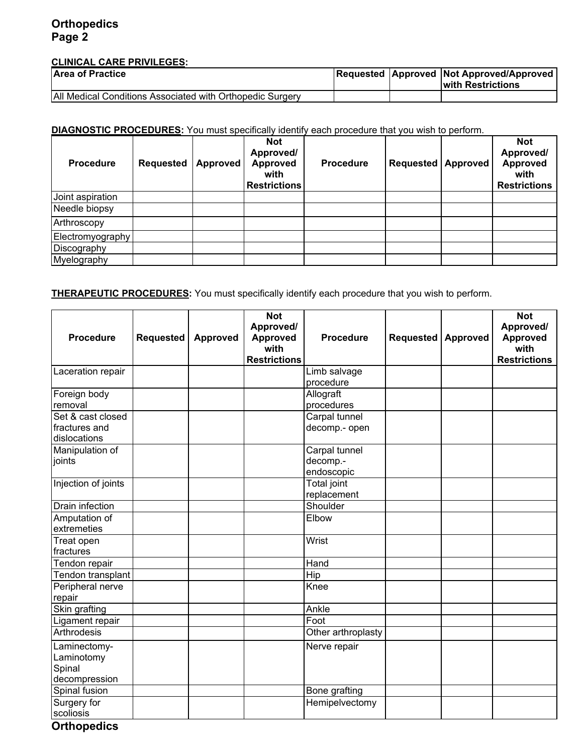## **Orthopedics Page 2**

#### **CLINICAL CARE PRIVILEGES:**

| <b>Area of Practice</b>                                   |  | <b>Requested Approved Not Approved/Approved</b><br>with Restrictions |
|-----------------------------------------------------------|--|----------------------------------------------------------------------|
| All Medical Conditions Associated with Orthopedic Surgery |  |                                                                      |

## **DIAGNOSTIC PROCEDURES:** You must specifically identify each procedure that you wish to perform.

| <b>Procedure</b> | <b>Requested</b> | Approved | <b>Not</b><br>Approved/<br><b>Approved</b><br>with<br><b>Restrictions</b> | <b>Procedure</b> | <b>Requested Approved</b> | <b>Not</b><br>Approved/<br><b>Approved</b><br>with<br><b>Restrictions</b> |
|------------------|------------------|----------|---------------------------------------------------------------------------|------------------|---------------------------|---------------------------------------------------------------------------|
| Joint aspiration |                  |          |                                                                           |                  |                           |                                                                           |
| Needle biopsy    |                  |          |                                                                           |                  |                           |                                                                           |
| Arthroscopy      |                  |          |                                                                           |                  |                           |                                                                           |
| Electromyography |                  |          |                                                                           |                  |                           |                                                                           |
| Discography      |                  |          |                                                                           |                  |                           |                                                                           |
| Myelography      |                  |          |                                                                           |                  |                           |                                                                           |

### **THERAPEUTIC PROCEDURES:** You must specifically identify each procedure that you wish to perform.

| <b>Procedure</b>                                      | <b>Requested</b> | Approved | <b>Not</b><br>Approved/<br><b>Approved</b> | <b>Procedure</b>                        | Requested | Approved | <b>Not</b><br>Approved/<br><b>Approved</b> |
|-------------------------------------------------------|------------------|----------|--------------------------------------------|-----------------------------------------|-----------|----------|--------------------------------------------|
|                                                       |                  |          | with<br><b>Restrictions</b>                |                                         |           |          | with<br><b>Restrictions</b>                |
| Laceration repair                                     |                  |          |                                            | Limb salvage<br>procedure               |           |          |                                            |
| Foreign body<br>removal                               |                  |          |                                            | Allograft<br>procedures                 |           |          |                                            |
| Set & cast closed<br>fractures and<br>dislocations    |                  |          |                                            | Carpal tunnel<br>decomp.- open          |           |          |                                            |
| Manipulation of<br>joints                             |                  |          |                                            | Carpal tunnel<br>decomp.-<br>endoscopic |           |          |                                            |
| Injection of joints                                   |                  |          |                                            | <b>Total joint</b><br>replacement       |           |          |                                            |
| Drain infection                                       |                  |          |                                            | Shoulder                                |           |          |                                            |
| Amputation of<br>extremeties                          |                  |          |                                            | Elbow                                   |           |          |                                            |
| Treat open<br>fractures                               |                  |          |                                            | Wrist                                   |           |          |                                            |
| Tendon repair                                         |                  |          |                                            | Hand                                    |           |          |                                            |
| Tendon transplant                                     |                  |          |                                            | Hip                                     |           |          |                                            |
| Peripheral nerve<br>repair                            |                  |          |                                            | Knee                                    |           |          |                                            |
| Skin grafting                                         |                  |          |                                            | Ankle                                   |           |          |                                            |
| Ligament repair                                       |                  |          |                                            | Foot                                    |           |          |                                            |
| Arthrodesis                                           |                  |          |                                            | Other arthroplasty                      |           |          |                                            |
| Laminectomy-<br>Laminotomy<br>Spinal<br>decompression |                  |          |                                            | Nerve repair                            |           |          |                                            |
| Spinal fusion                                         |                  |          |                                            | Bone grafting                           |           |          |                                            |
| Surgery for<br>scoliosis                              |                  |          |                                            | Hemipelvectomy                          |           |          |                                            |

**Orthopedics**